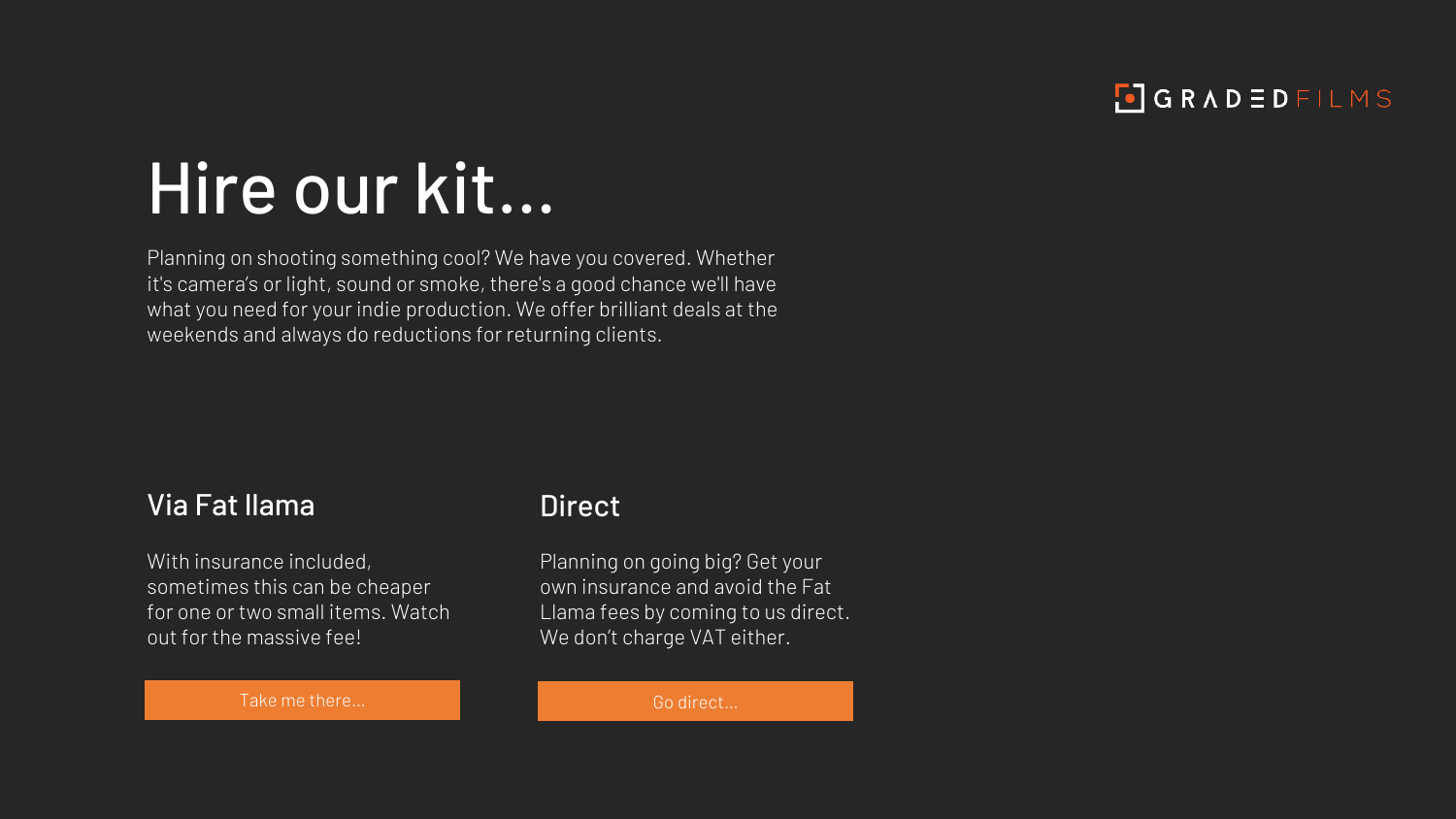

# Hire our kit…

Planning on shooting something cool? We have you covered. Whether it's camera's or light, sound or smoke, there's a good chance we'll have what you need for your indie production. We offer brilliant deals at the weekends and always do reductions for returning clients.

#### Via Fat Ilama Direct

With insurance included. sometimes this can be cheaper for one or two small items. Watch out for the massive fee!

Planning on going big? Get your own insurance and avoid the Fat Llama fees by coming to us direct. We don't charge VAT either.

[Take me there…](https://fatllama.com/profile/4012325978) [Go direct…](mailto:production@gradedfilms.co.uk?subject=I%20want%20to%20hire%20something...)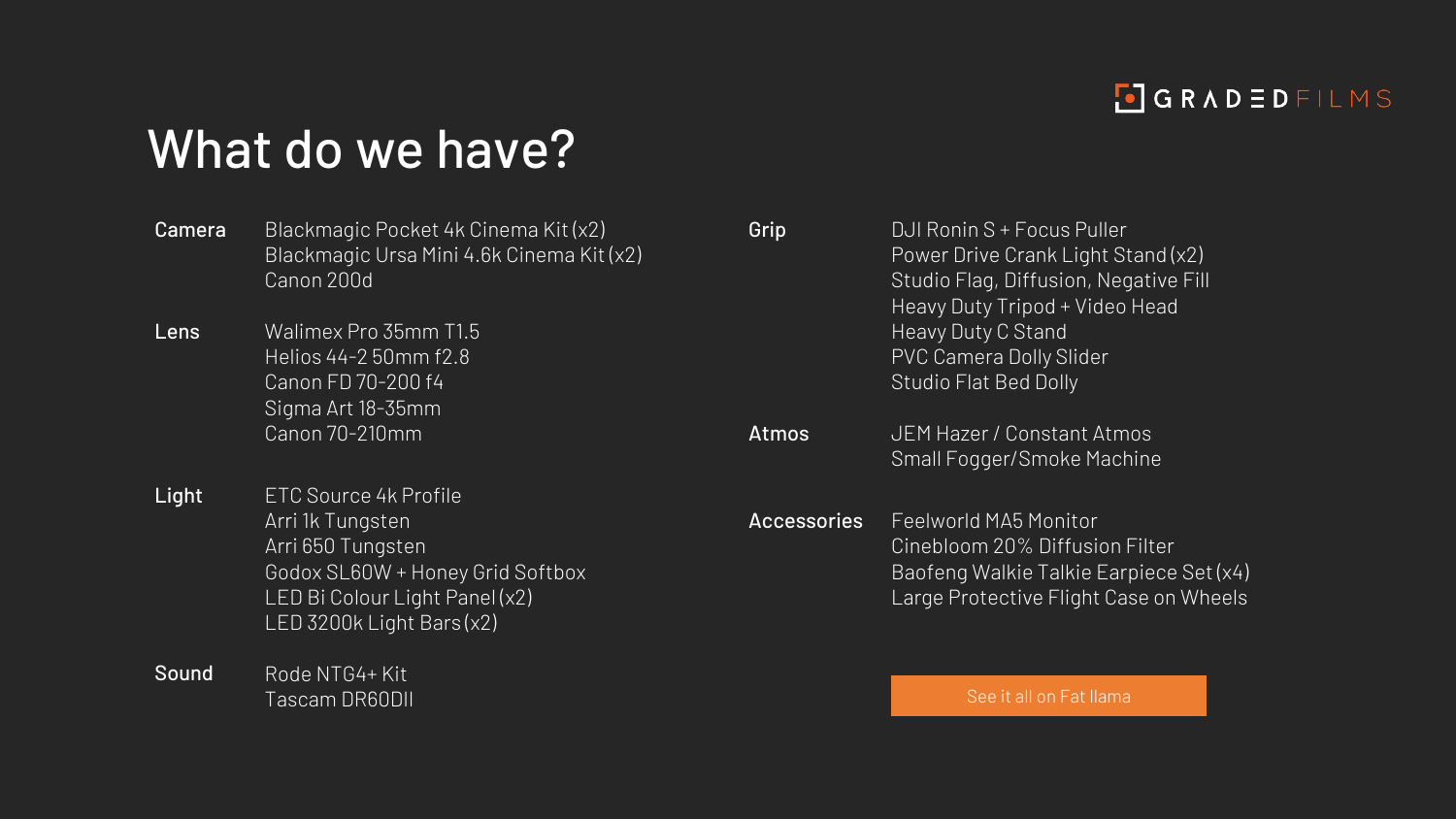

### What do we have?

| <b>Camera</b> | Blackmagic Pocket 4k Cinema Kit (x2)<br>Blackmagic Ursa Mini 4.6k Cinema Kit (x2)<br>Canon 200d                                                                   | Grip               | DJI Ronin S + Focus Puller<br>Power Drive Crank Light Stand (x2)<br>Studio Flag, Diffusion, Negative Fill<br>Heavy Duty Tripod + Video Head  |
|---------------|-------------------------------------------------------------------------------------------------------------------------------------------------------------------|--------------------|----------------------------------------------------------------------------------------------------------------------------------------------|
| Lens          | Walimex Pro 35mm T1.5<br>Helios 44-2 50mm f2.8<br>Canon FD 70-200 f4<br>Sigma Art 18-35mm                                                                         |                    | Heavy Duty C Stand<br><b>PVC Camera Dolly Slider</b><br><b>Studio Flat Bed Dolly</b>                                                         |
|               | Canon 70-210mm                                                                                                                                                    | <b>Atmos</b>       | JEM Hazer / Constant Atmos<br>Small Fogger/Smoke Machine                                                                                     |
| Light         | ETC Source 4k Profile<br>Arri 1k Tungsten<br>Arri 650 Tungsten<br>Godox SL60W + Honey Grid Softbox<br>LED Bi Colour Light Panel (x2)<br>LED 3200k Light Bars (x2) | <b>Accessories</b> | Feelworld MA5 Monitor<br>Cinebloom 20% Diffusion Filter<br>Baofeng Walkie Talkie Earpiece Set (x4)<br>Large Protective Flight Case on Wheels |
| Sound         | Rode NTG4+ Kit<br>Tascam DR60DII                                                                                                                                  |                    | See it all on Fat Ilama                                                                                                                      |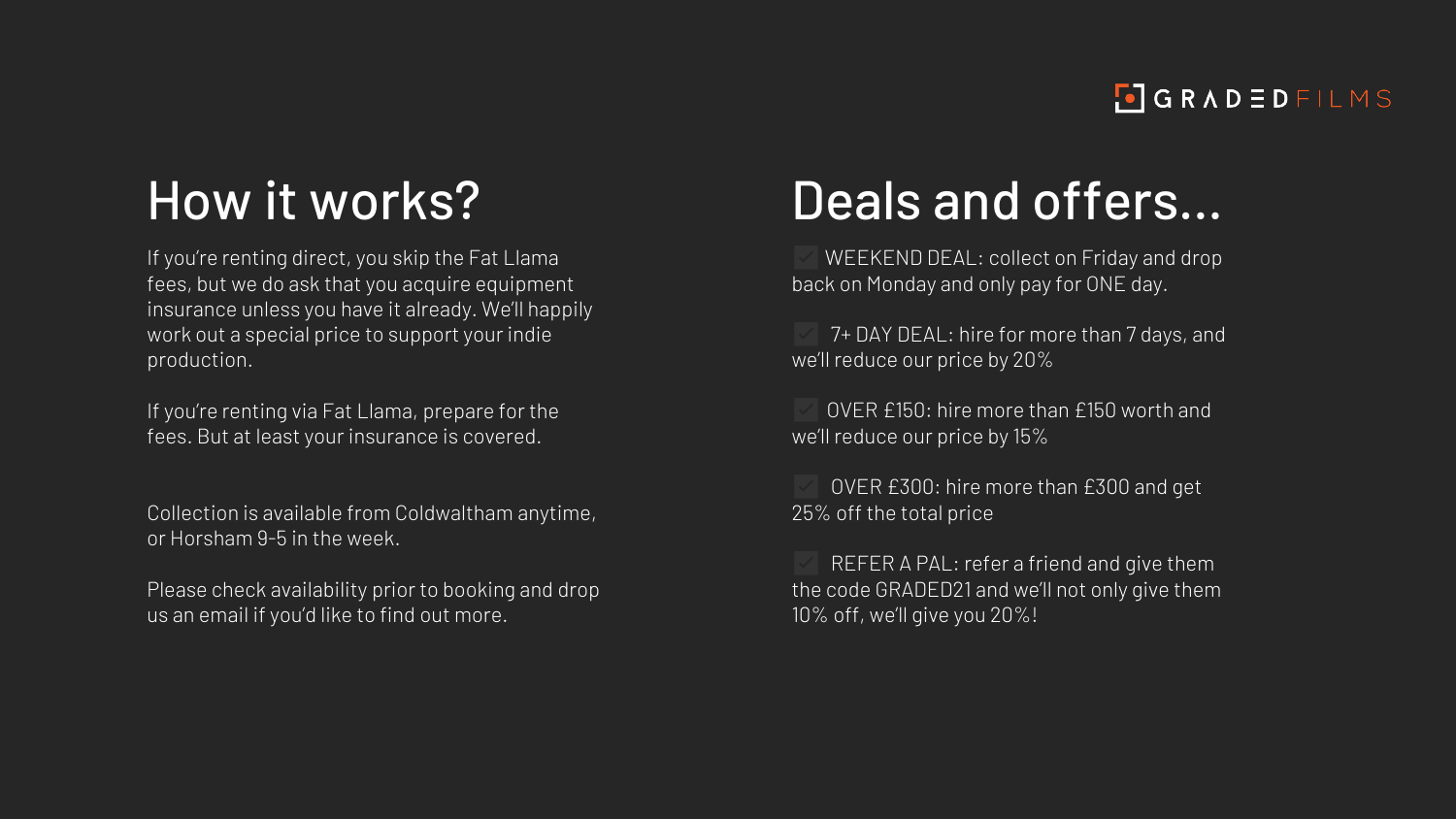### $\boxed{\bullet}$  GRADEDFILMS

### How it works?

If you're renting direct, you skip the Fat Llama fees, but we do ask that you acquire equipment insurance unless you have it already. We'll happily work out a special price to support your indie production.

If you're renting via Fat Llama, prepare for the fees. But at least your insurance is covered.

Collection is available from Coldwaltham anytime, or Horsham 9-5 in the week.

Please check availability prior to booking and drop us an email if you'd like to find out more.

### Deals and offers…

WEEKEND DEAL: collect on Friday and drop back on Monday and only pay for ONE day.

7+ DAY DEAL: hire for more than 7 days, and we'll reduce our price by 20%

✅ OVER £150: hire more than £150 worth and we'll reduce our price by 15%

✅ OVER £300: hire more than £300 and get 25% off the total price

REFER A PAL: refer a friend and give them the code GRADED21 and we'll not only give them 10% off, we'll give you 20%!